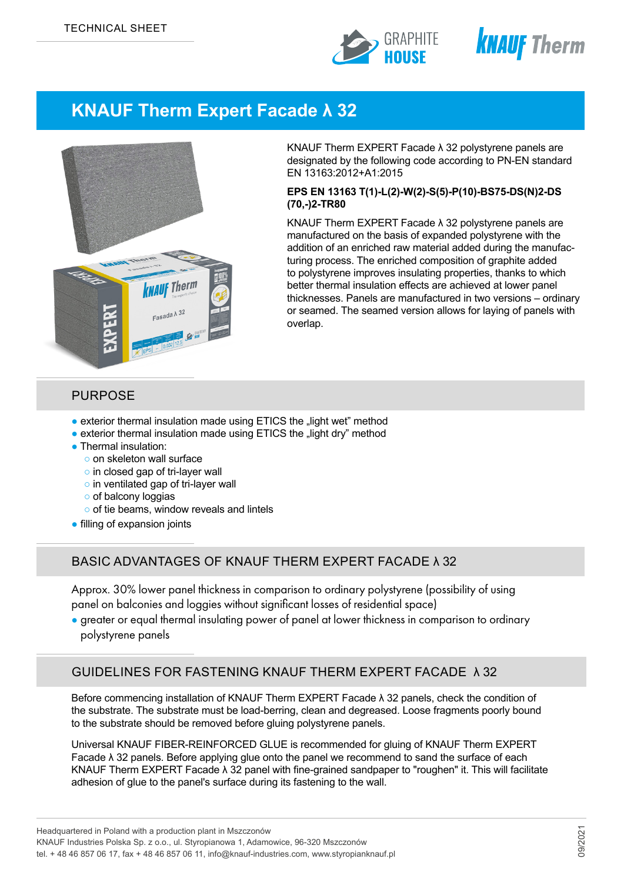



# **KNAUF Therm Expert Facade λ 32**



KNAUF Therm EXPERT Facade λ 32 polystyrene panels are designated by the following code according to PN-EN standard EN 13163:2012+A1:2015

#### **EPS EN 13163 T(1)-L(2)-W(2)-S(5)-P(10)-BS75-DS(N)2-DS (70,-)2-TR80**

KNAUF Therm EXPERT Facade λ 32 polystyrene panels are manufactured on the basis of expanded polystyrene with the addition of an enriched raw material added during the manufacturing process. The enriched composition of graphite added to polystyrene improves insulating properties, thanks to which better thermal insulation effects are achieved at lower panel thicknesses. Panels are manufactured in two versions – ordinary or seamed. The seamed version allows for laying of panels with overlap.

#### PURPOSE

- exterior thermal insulation made using ETICS the "light wet" method
- exterior thermal insulation made using ETICS the "light dry" method
- Thermal insulation:
	- o on skeleton wall surface
	- o in closed gap of tri-layer wall
	- o in ventilated gap of tri-layer wall
	- of balcony loggias
	- o of tie beams, window reveals and lintels
- filling of expansion joints

### BASIC ADVANTAGES OF KNAUF THERM EXPERT FACADE λ 32

Approx. 30% lower panel thickness in comparison to ordinary polystyrene (possibility of using panel on balconies and loggies without significant losses of residential space)

● greater or equal thermal insulating power of panel at lower thickness in comparison to ordinary polystyrene panels

### GUIDELINES FOR FASTENING KNAUF THERM EXPERT FACADE λ 32

Before commencing installation of KNAUF Therm EXPERT Facade λ 32 panels, check the condition of the substrate. The substrate must be load-berring, clean and degreased. Loose fragments poorly bound to the substrate should be removed before gluing polystyrene panels.

Universal KNAUF FIBER-REINFORCED GLUE is recommended for gluing of KNAUF Therm EXPERT Facade λ 32 panels. Before applying glue onto the panel we recommend to sand the surface of each KNAUF Therm EXPERT Facade λ 32 panel with fine-grained sandpaper to "roughen" it. This will facilitate adhesion of glue to the panel's surface during its fastening to the wall.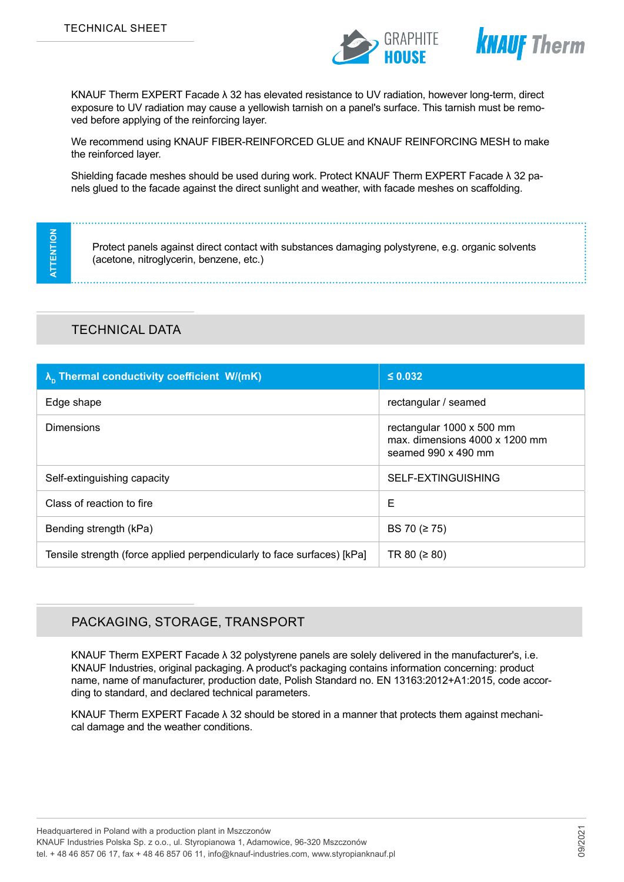



KNAUF Therm EXPERT Facade λ 32 has elevated resistance to UV radiation, however long-term, direct exposure to UV radiation may cause a yellowish tarnish on a panel's surface. This tarnish must be removed before applying of the reinforcing layer.

We recommend using KNAUF FIBER-REINFORCED GLUE and KNAUF REINFORCING MESH to make the reinforced layer.

Shielding facade meshes should be used during work. Protect KNAUF Therm EXPERT Facade λ 32 panels glued to the facade against the direct sunlight and weather, with facade meshes on scaffolding.

**ATTENTION ATTENTION** 

Protect panels against direct contact with substances damaging polystyrene, e.g. organic solvents (acetone, nitroglycerin, benzene, etc.)

## TECHNICAL DATA

| $\lambda_n$ Thermal conductivity coefficient W/(mK)                     | $\leq 0.032$                                                                       |
|-------------------------------------------------------------------------|------------------------------------------------------------------------------------|
| Edge shape                                                              | rectangular / seamed                                                               |
| <b>Dimensions</b>                                                       | rectangular 1000 x 500 mm<br>max. dimensions 4000 x 1200 mm<br>seamed 990 x 490 mm |
| Self-extinguishing capacity                                             | SELF-EXTINGUISHING                                                                 |
| Class of reaction to fire                                               | Е                                                                                  |
| Bending strength (kPa)                                                  | BS 70 (≥ 75)                                                                       |
| Tensile strength (force applied perpendicularly to face surfaces) [kPa] | TR 80 ( $\geq$ 80)                                                                 |

### PACKAGING, STORAGE, TRANSPORT

KNAUF Therm EXPERT Facade λ 32 polystyrene panels are solely delivered in the manufacturer's, i.e. KNAUF Industries, original packaging. A product's packaging contains information concerning: product name, name of manufacturer, production date, Polish Standard no. EN 13163:2012+A1:2015, code according to standard, and declared technical parameters.

KNAUF Therm EXPERT Facade λ 32 should be stored in a manner that protects them against mechanical damage and the weather conditions.